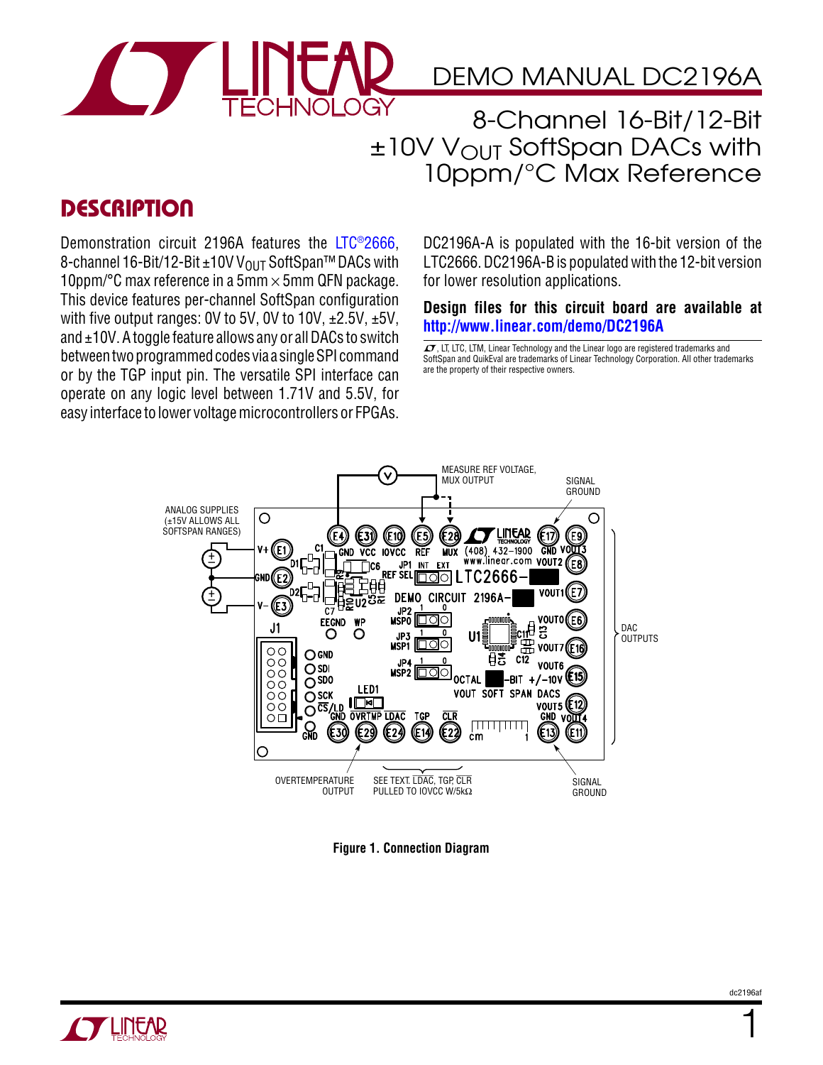

## DEMO MANUAL DC2196A

8-Channel 16-Bit/12-Bit  $±10V$  V<sub>OUT</sub> SoftSpan DACs with 10ppm/°C Max Reference

## **DESCRIPTION**

Demonstration circuit 2196A features the [LTC®2666](http://www.linear.com/LTC2666), 8-channel 16-Bit/12-Bit ±10V V<sub>OUT</sub> SoftSpan<sup>™</sup> DACs with 10ppm/°C max reference in a 5mm  $\times$  5mm QFN package. This device features per-channel SoftSpan configuration with five output ranges: 0V to 5V, 0V to 10V,  $\pm 2.5V$ ,  $\pm 5V$ , and  $\pm$ 10V. A toggle feature allows any or all DACs to switch betweentwoprogrammedcodes via a singleSPI command or by the TGP input pin. The versatile SPI interface can operate on any logic level between 1.71V and 5.5V, for easy interface to lower voltage microcontrollers or FPGAs.

DC2196A-A is populated with the 16-bit version of the LTC2666. DC2196A-B is populated with the 12-bit version for lower resolution applications.

**Design files for this circuit board are available at <http://www.linear.com/demo/DC2196A>**

 $\sqrt{J}$ , LT, LTC, LTM, Linear Technology and the Linear logo are registered trademarks and SoftSpan and QuikEval are trademarks of Linear Technology Corporation. All other trademarks are the property of their respective owners.



**Figure 1. Connection Diagram**



1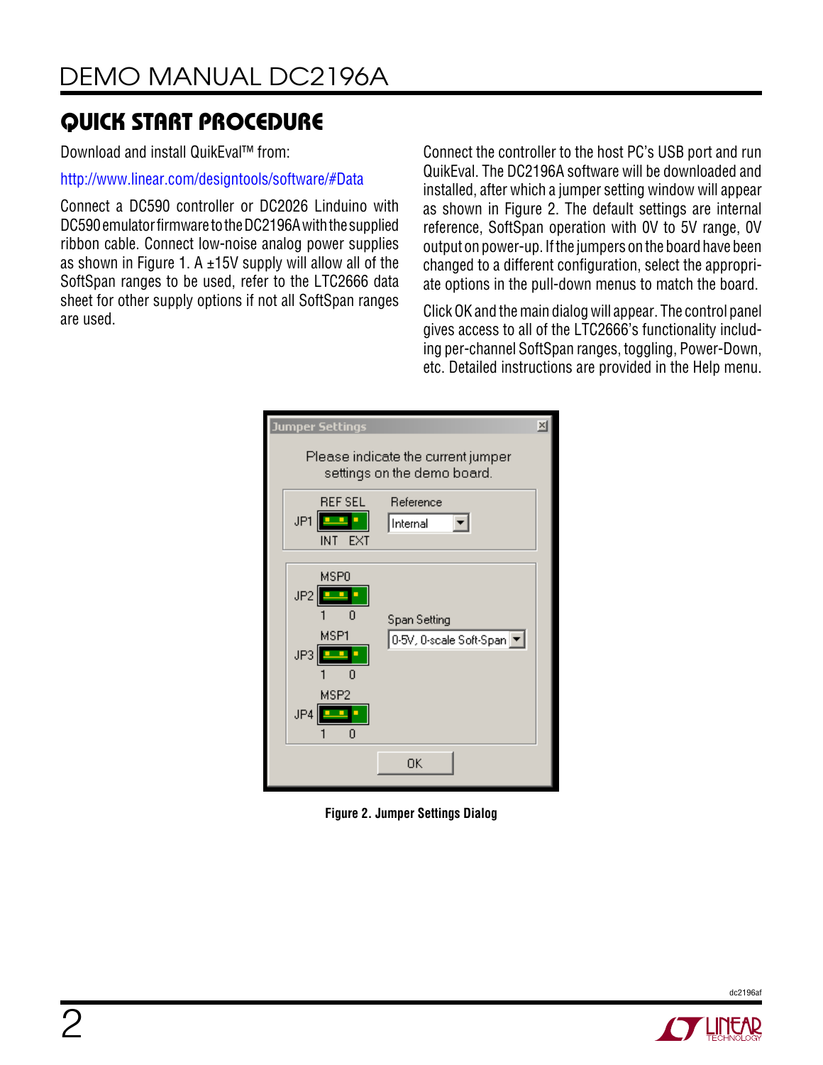Download and install QuikEval™ from:

<http://www.linear.com/designtools/software/#Data>

Connect a DC590 controller or DC2026 Linduino with DC590 emulator firmware to the DC2196A with the supplied ribbon cable. Connect low-noise analog power supplies as shown in Figure 1. A  $\pm$ 15V supply will allow all of the SoftSpan ranges to be used, refer to the LTC2666 data sheet for other supply options if not all SoftSpan ranges are used.

Connect the controller to the host PC's USB port and run QuikEval. The DC2196A software will be downloaded and installed, after which a jumper setting window will appear as shown in Figure 2. The default settings are internal reference, SoftSpan operation with 0V to 5V range, 0V output on power-up. If the jumpers on the board have been changed to a different configuration, select the appropriate options in the pull-down menus to match the board.

Click OK and the main dialog will appear. The control panel gives access to all of the LTC2666's functionality including per-channel SoftSpan ranges, toggling, Power-Down, etc. Detailed instructions are provided in the Help menu.

| $\mathbb{\times}$<br>Jumper Settings                                   |                                           |  |  |  |
|------------------------------------------------------------------------|-------------------------------------------|--|--|--|
| Please indicate the current jumper<br>settings on the demo board.      |                                           |  |  |  |
| <b>REF SEL</b><br>JP1<br>۳<br>EXT<br>INT.                              | Reference<br>Internal                     |  |  |  |
| MSP <sub>0</sub><br>JP2<br>MSP1<br>JP3<br>MSP <sub>2</sub><br>JP4<br>n | Span Setting<br>0-5V, 0-scale Soft-Span ▼ |  |  |  |
|                                                                        | OΚ                                        |  |  |  |

**Figure 2. Jumper Settings Dialog**



dc2196af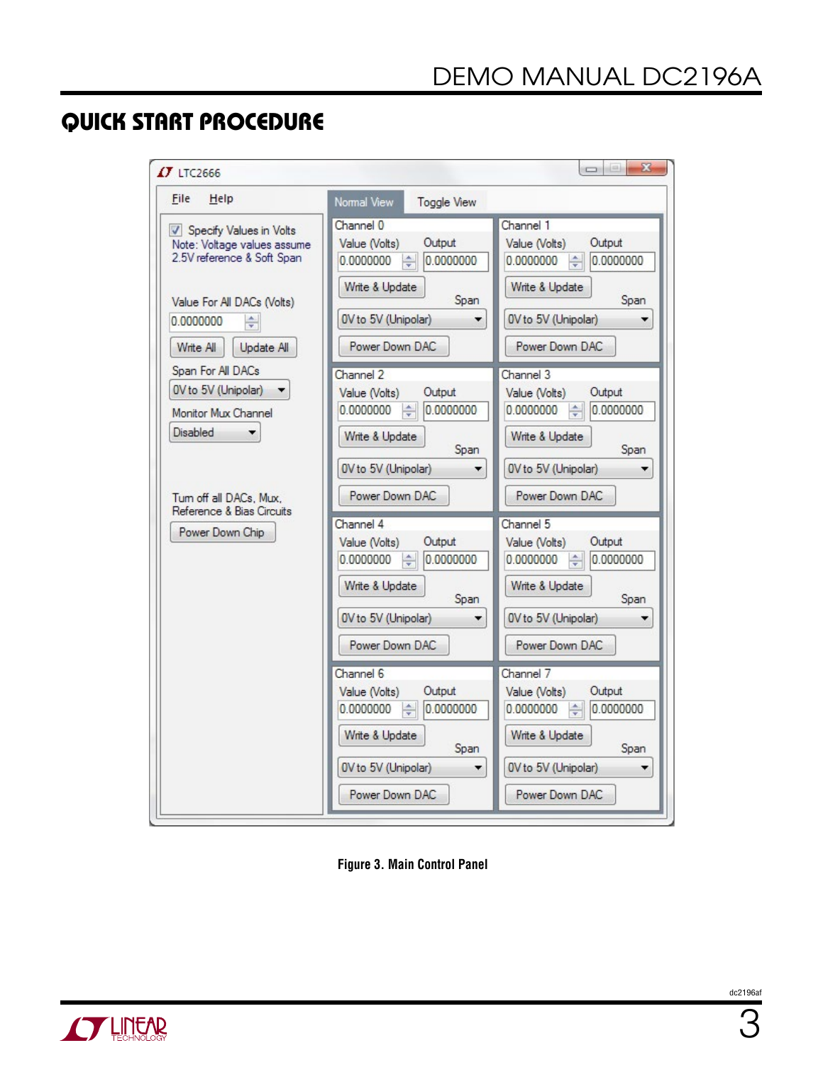| $IJ$ LTC2666                                                                         |                                                                | $\mathbf{z}$<br>$\Box$                                         |
|--------------------------------------------------------------------------------------|----------------------------------------------------------------|----------------------------------------------------------------|
| File<br>Help                                                                         | Normal View<br><b>Toggle View</b>                              |                                                                |
| Specify Values in Volts<br>Note: Voltage values assume<br>2.5V reference & Soft Span | Channel 0<br>Output<br>Value (Volts)<br>0.0000000<br>0.0000000 | Channel 1<br>Output<br>Value (Volts)<br>0.0000000<br>0.0000000 |
| Value For All DACs (Volts)<br>0.0000000<br>÷                                         | Write & Update<br>Span<br>OV to 5V (Unipolar)                  | Write & Update<br>Span<br>0V to 5V (Unipolar)                  |
| Write All<br>Update All<br>Span For All DACs<br>0V to 5V (Unipolar)                  | Power Down DAC<br>Channel 2<br>Output<br>Value (Volts)         | Power Down DAC<br>Channel 3<br>Output<br>Value (Volts)         |
| Monitor Mux Channel<br><b>Disabled</b>                                               | 0.0000000<br>0.0000000<br>Write & Update<br>Span               | 0.0000000<br>0.0000000<br>Write & Update<br>Span               |
| Tum off all DACs, Mux,<br>Reference & Bias Circuits                                  | OV to 5V (Unipolar)<br>Power Down DAC                          | 0V to 5V (Unipolar)<br>Power Down DAC                          |
| Power Down Chip                                                                      | Channel 4<br>Output<br>Value (Volts)<br>0.0000000<br>0.0000000 | Channel 5<br>Output<br>Value (Volts)<br>0.0000000<br>0.0000000 |
|                                                                                      | Write & Update<br>Span<br>OV to 5V (Unipolar)                  | Write & Update<br>Span<br>0V to 5V (Unipolar)                  |
|                                                                                      | Power Down DAC<br>Channel 6                                    | Power Down DAC<br>Channel 7                                    |
|                                                                                      | Output<br>Value (Volts)<br>0.0000000<br>0.0000000              | Output<br>Value (Volts)<br>0.0000000<br>0.0000000              |
|                                                                                      | Write & Update<br>Span<br>0V to 5V (Unipolar)                  | Write & Update<br>Span<br>0V to 5V (Unipolar)                  |
|                                                                                      | Power Down DAC                                                 | Power Down DAC                                                 |

**Figure 3. Main Control Panel**

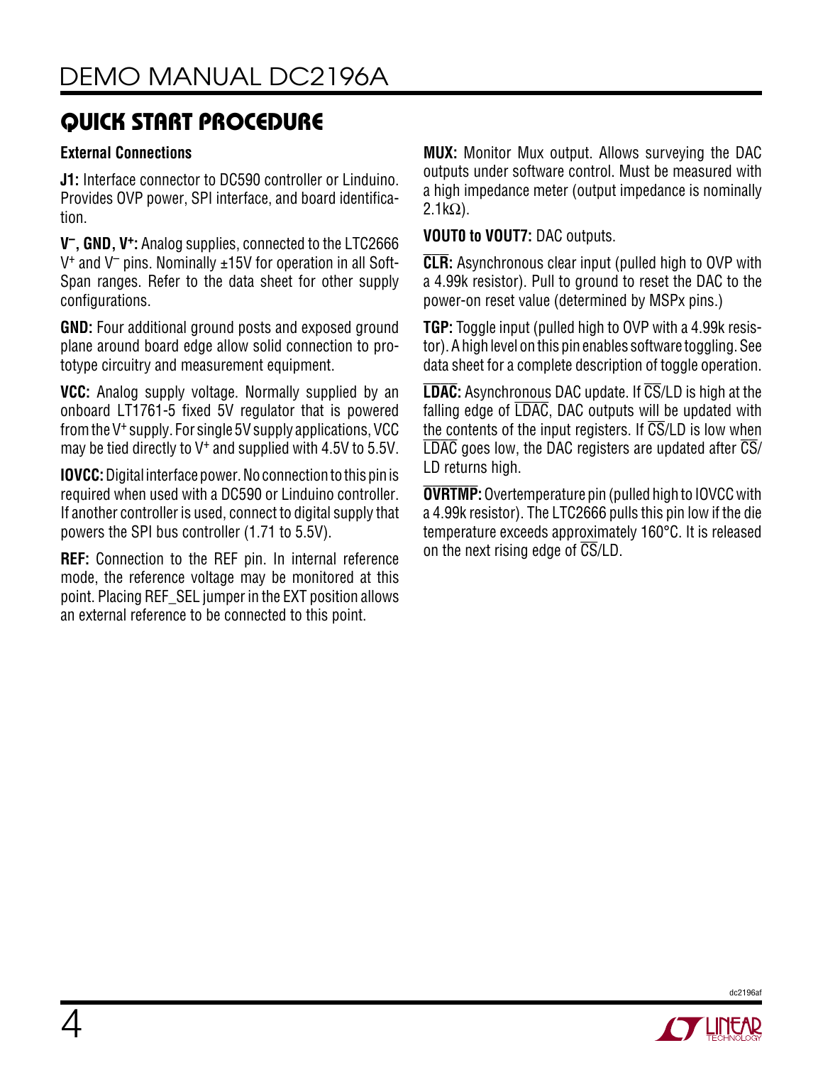### **External Connections**

**J1:** Interface connector to DC590 controller or Linduino. Provides OVP power, SPI interface, and board identification.

**V–, GND, V+:** Analog supplies, connected to the LTC2666  $V^+$  and  $V^-$  pins. Nominally  $\pm 15V$  for operation in all Soft-Span ranges. Refer to the data sheet for other supply configurations.

**GND:** Four additional ground posts and exposed ground plane around board edge allow solid connection to prototype circuitry and measurement equipment.

**VCC:** Analog supply voltage. Normally supplied by an onboard LT1761-5 fixed 5V regulator that is powered from the V+ supply. For single 5V supply applications, VCC may be tied directly to V+ and supplied with 4.5V to 5.5V.

**IOVCC:** Digital interface power. No connection to this pin is required when used with a DC590 or Linduino controller. If another controller is used, connect to digital supply that powers the SPI bus controller (1.71 to 5.5V).

**REF:** Connection to the REF pin. In internal reference mode, the reference voltage may be monitored at this point. Placing REF\_SEL jumper in the EXT position allows an external reference to be connected to this point.

**MUX:** Monitor Mux output. Allows surveying the DAC outputs under software control. Must be measured with a high impedance meter (output impedance is nominally  $2.1kΩ$ ).

**VOUT0 to VOUT7:** DAC outputs.

**CLR:** Asynchronous clear input (pulled high to OVP with a 4.99k resistor). Pull to ground to reset the DAC to the power-on reset value (determined by MSPx pins.)

**TGP:** Toggle input (pulled high to OVP with a 4.99k resistor). A high level on this pin enables software toggling. See data sheet for a complete description of toggle operation.

**LDAC:** Asynchronous DAC update. If CS/LD is high at the falling edge of LDAC, DAC outputs will be updated with the contents of the input registers. If  $\overline{\text{CS}}$ /LD is low when  $\overline{\text{LDAC}}$  goes low, the DAC registers are updated after  $\overline{\text{CS}}/$ LD returns high.

**OVRTMP:** Overtemperature pin (pulled high to IOVCC with a 4.99k resistor). The LTC2666 pulls this pin low if the die temperature exceeds approximately 160°C. It is released on the next rising edge of  $\overline{\text{CS}}$ /LD.



dc2196af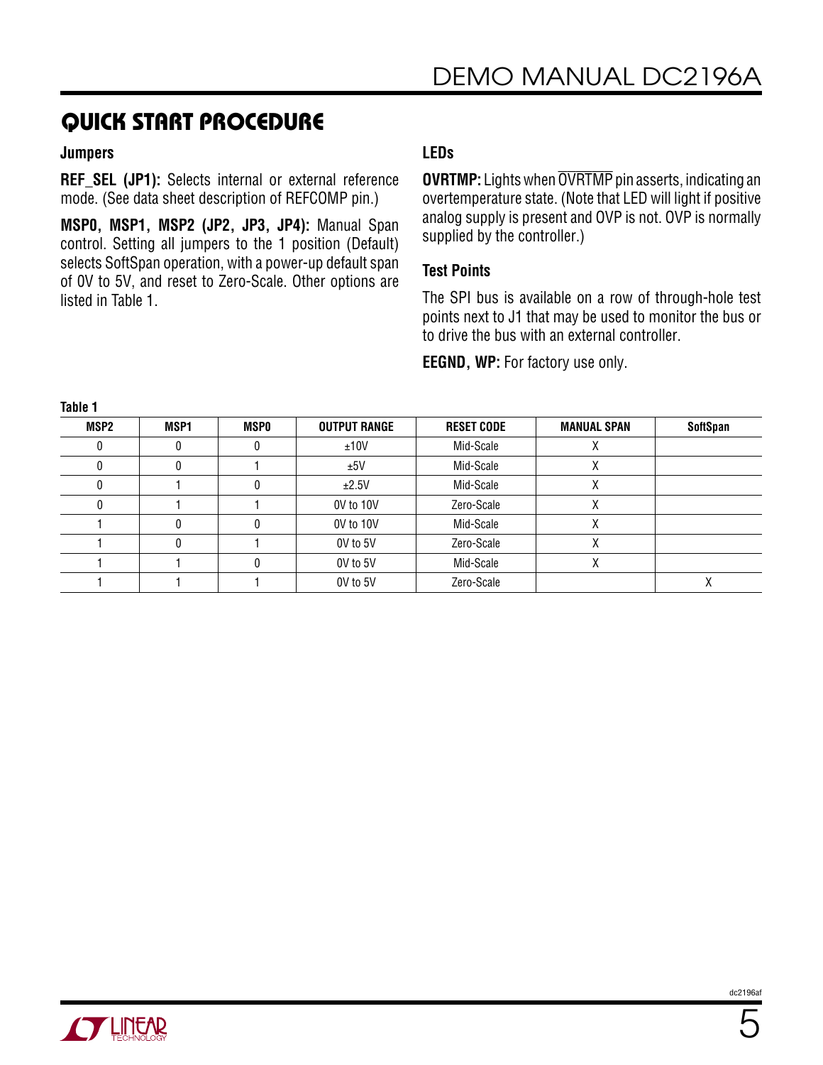#### **Jumpers**

**REF SEL (JP1):** Selects internal or external reference mode. (See data sheet description of REFCOMP pin.)

**MSP0, MSP1, MSP2 (JP2, JP3, JP4):** Manual Span control. Setting all jumpers to the 1 position (Default) selects SoftSpan operation, with a power-up default span of 0V to 5V, and reset to Zero-Scale. Other options are listed in Table 1.

## **LEDs**

**OVRTMP:** Lights when OVRTMP pin asserts, indicating an overtemperature state. (Note that LED will light if positive analog supply is present and OVP is not. OVP is normally supplied by the controller.)

#### **Test Points**

The SPI bus is available on a row of through-hole test points next to J1 that may be used to monitor the bus or to drive the bus with an external controller.

**EEGND, WP:** For factory use only.

| .    |      |             |                     |                   |                    |                 |
|------|------|-------------|---------------------|-------------------|--------------------|-----------------|
| MSP2 | MSP1 | <b>MSPO</b> | <b>OUTPUT RANGE</b> | <b>RESET CODE</b> | <b>MANUAL SPAN</b> | <b>SoftSpan</b> |
|      |      |             | ±10V                | Mid-Scale         |                    |                 |
|      |      |             | ±5V                 | Mid-Scale         | Λ                  |                 |
|      |      |             | ±2.5V               | Mid-Scale         | Λ                  |                 |
|      |      |             | 0V to 10V           | Zero-Scale        | Λ                  |                 |
|      |      |             | 0V to 10V           | Mid-Scale         |                    |                 |
|      |      |             | OV to 5V            | Zero-Scale        |                    |                 |
|      |      |             | OV to 5V            | Mid-Scale         |                    |                 |
|      |      |             | OV to 5V            | Zero-Scale        |                    |                 |

**Table 1**

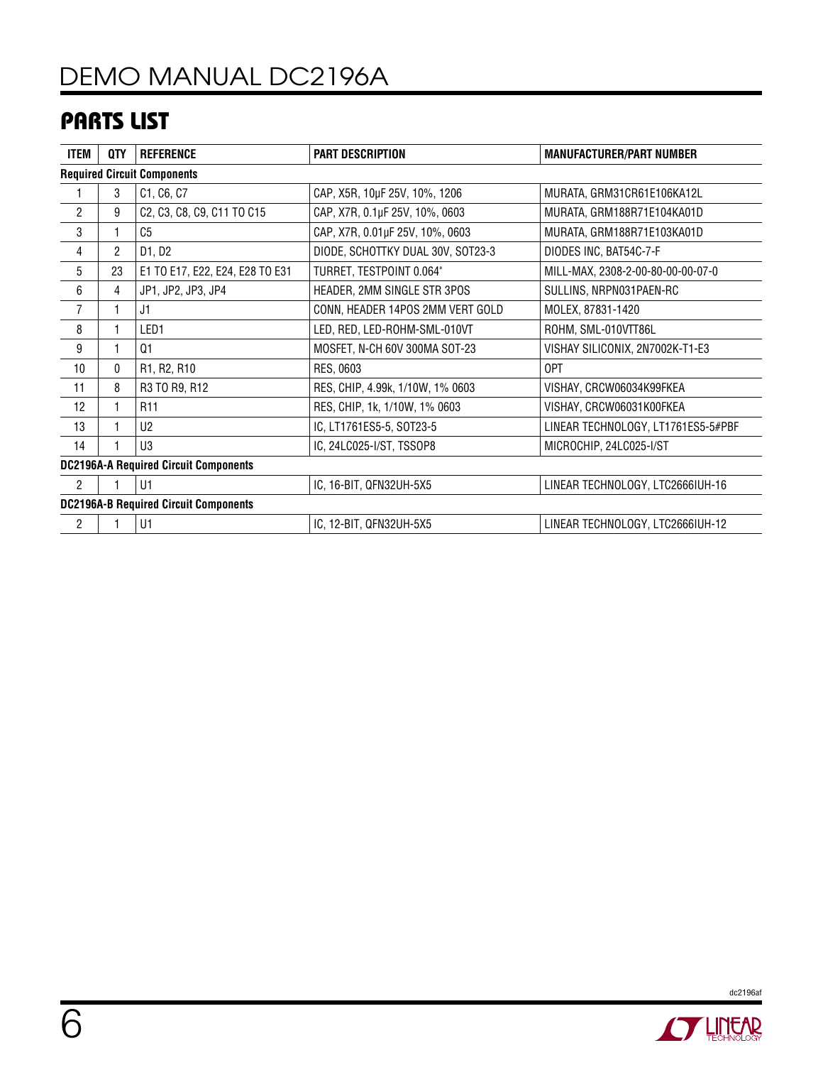# DEMO MANUAL DC2196A

## Parts List

| <b>ITEM</b>                                  | QTY            | <b>REFERENCE</b>                | <b>PART DESCRIPTION</b>           | <b>MANUFACTURER/PART NUMBER</b>    |  |  |
|----------------------------------------------|----------------|---------------------------------|-----------------------------------|------------------------------------|--|--|
| <b>Required Circuit Components</b>           |                |                                 |                                   |                                    |  |  |
|                                              | 3              | C1, C6, C7                      | CAP, X5R, 10µF 25V, 10%, 1206     | MURATA, GRM31CR61E106KA12L         |  |  |
| $\overline{2}$                               | 9              | C2, C3, C8, C9, C11 TO C15      | CAP, X7R, 0.1µF 25V, 10%, 0603    | MURATA, GRM188R71E104KA01D         |  |  |
| 3                                            |                | C <sub>5</sub>                  | CAP, X7R, 0.01µF 25V, 10%, 0603   | MURATA, GRM188R71E103KA01D         |  |  |
| $\overline{4}$                               | $\overline{2}$ | D1, D2                          | DIODE, SCHOTTKY DUAL 30V, SOT23-3 | DIODES INC, BAT54C-7-F             |  |  |
| 5                                            | 23             | E1 TO E17, E22, E24, E28 TO E31 | TURRET, TESTPOINT 0.064"          | MILL-MAX, 2308-2-00-80-00-00-07-0  |  |  |
| 6                                            | 4              | JP1, JP2, JP3, JP4              | HEADER, 2MM SINGLE STR 3POS       | SULLINS, NRPN031PAEN-RC            |  |  |
| $\overline{7}$                               |                | J1                              | CONN, HEADER 14POS 2MM VERT GOLD  | MOLEX, 87831-1420                  |  |  |
| 8                                            |                | LED1                            | LED, RED, LED-ROHM-SML-010VT      | ROHM, SML-010VTT86L                |  |  |
| 9                                            |                | Q <sub>1</sub>                  | MOSFET, N-CH 60V 300MA SOT-23     | VISHAY SILICONIX, 2N7002K-T1-E3    |  |  |
| 10                                           | 0              | R1, R2, R10                     | RES, 0603                         | 0PT                                |  |  |
| 11                                           | 8              | R3 TO R9, R12                   | RES, CHIP, 4.99k, 1/10W, 1% 0603  | VISHAY, CRCW06034K99FKEA           |  |  |
| 12                                           | 1              | R <sub>11</sub>                 | RES, CHIP, 1k, 1/10W, 1% 0603     | VISHAY, CRCW06031K00FKEA           |  |  |
| 13                                           |                | U <sub>2</sub>                  | IC, LT1761ES5-5, SOT23-5          | LINEAR TECHNOLOGY, LT1761ES5-5#PBF |  |  |
| 14                                           |                | U3                              | IC, 24LC025-I/ST, TSSOP8          | MICROCHIP, 24LC025-I/ST            |  |  |
| <b>DC2196A-A Required Circuit Components</b> |                |                                 |                                   |                                    |  |  |
| $\overline{2}$                               |                | U1                              | IC, 16-BIT, QFN32UH-5X5           | LINEAR TECHNOLOGY, LTC2666IUH-16   |  |  |
| <b>DC2196A-B Required Circuit Components</b> |                |                                 |                                   |                                    |  |  |
| $\overline{2}$                               |                | U1                              | IC, 12-BIT, QFN32UH-5X5           | LINEAR TECHNOLOGY, LTC2666IUH-12   |  |  |



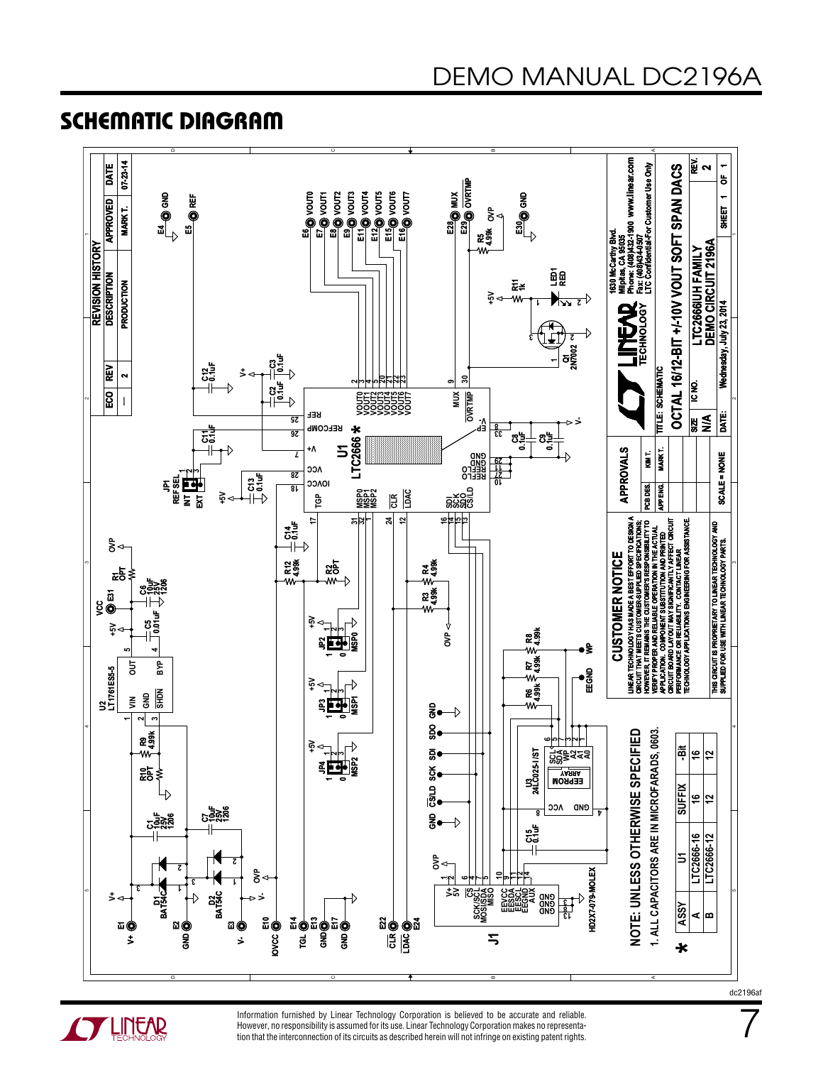7

## Schematic Diagram





Information furnished by Linear Technology Corporation is believed to be accurate and reliable. However, no responsibility is assumed for its use. Linear Technology Corporation makes no representation that the interconnection of its circuits as described herein will not infringe on existing patent rights.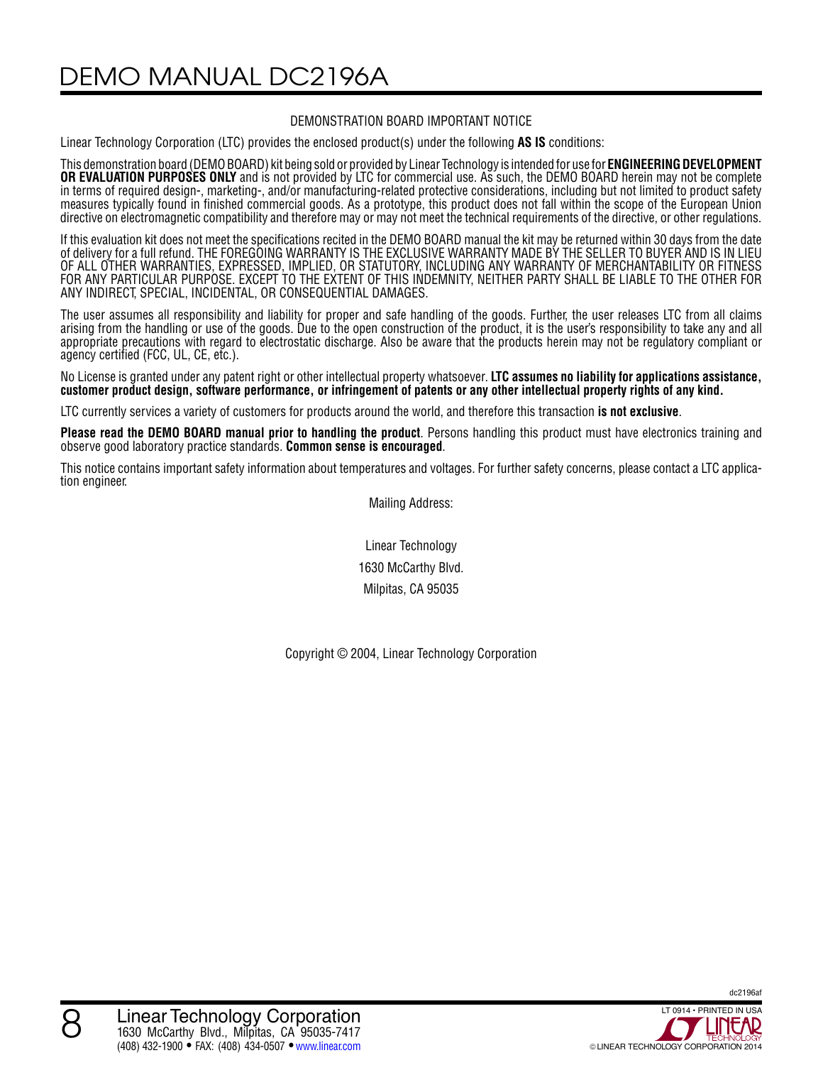DEMO MANUAL DC2196A

#### DEMONSTRATION BOARD IMPORTANT NOTICE

Linear Technology Corporation (LTC) provides the enclosed product(s) under the following **AS IS** conditions:

This demonstration board (DEMO BOARD) kit being sold or provided by Linear Technology is intended for use for **ENGINEERING DEVELOPMENT OR EVALUATION PURPOSES ONLY** and is not provided by LTC for commercial use. As such, the DEMO BOARD herein may not be complete in terms of required design-, marketing-, and/or manufacturing-related protective considerations, including but not limited to product safety measures typically found in finished commercial goods. As a prototype, this product does not fall within the scope of the European Union directive on electromagnetic compatibility and therefore may or may not meet the technical requirements of the directive, or other regulations.

If this evaluation kit does not meet the specifications recited in the DEMO BOARD manual the kit may be returned within 30 days from the date of delivery for a full refund. THE FOREGOING WARRANTY IS THE EXCLUSIVE WARRANTY MADE BY THE SELLER TO BUYER AND IS IN LIEU OF ALL OTHER WARRANTIES, EXPRESSED, IMPLIED, OR STATUTORY, INCLUDING ANY WARRANTY OF MERCHANTABILITY OR FITNESS FOR ANY PARTICULAR PURPOSE. EXCEPT TO THE EXTENT OF THIS INDEMNITY, NEITHER PARTY SHALL BE LIABLE TO THE OTHER FOR ANY INDIRECT, SPECIAL, INCIDENTAL, OR CONSEQUENTIAL DAMAGES.

The user assumes all responsibility and liability for proper and safe handling of the goods. Further, the user releases LTC from all claims arising from the handling or use of the goods. Due to the open construction of the product, it is the user's responsibility to take any and all appropriate precautions with regard to electrostatic discharge. Also be aware that the products herein may not be regulatory compliant or agency certified (FCC, UL, CE, etc.).

No License is granted under any patent right or other intellectual property whatsoever. **LTC assumes no liability for applications assistance, customer product design, software performance, or infringement of patents or any other intellectual property rights of any kind.**

LTC currently services a variety of customers for products around the world, and therefore this transaction **is not exclusive**.

**Please read the DEMO BOARD manual prior to handling the product**. Persons handling this product must have electronics training and observe good laboratory practice standards. **Common sense is encouraged**.

This notice contains important safety information about temperatures and voltages. For further safety concerns, please contact a LTC application engineer.

Mailing Address:

Linear Technology 1630 McCarthy Blvd. Milpitas, CA 95035

Copyright © 2004, Linear Technology Corporation

dc2196af

8